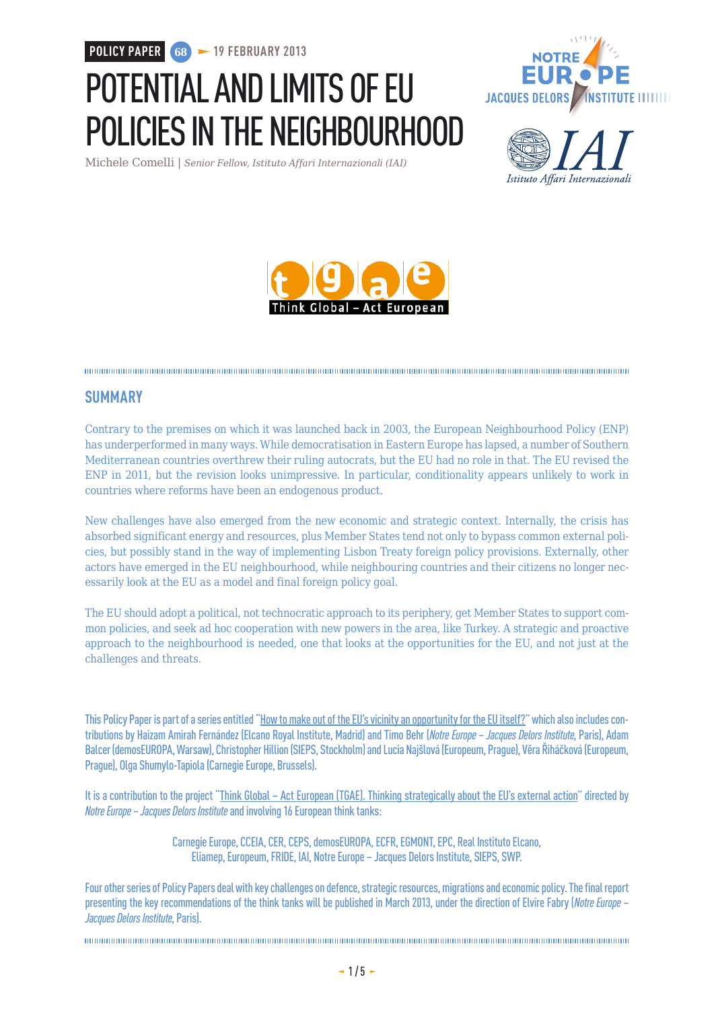**POLICY PAPER 68 19 FEBRUARY 2013**

# POTENTIAL AND LIMITS OF EU POLICIES IN THE NEIGHBOURHOOD

Michele Comelli | *Senior Fellow, Istituto Affari Internazionali (IAI)*







#### **SUMMARY**

Contrary to the premises on which it was launched back in 2003, the European Neighbourhood Policy (ENP) has underperformed in many ways. While democratisation in Eastern Europe has lapsed, a number of Southern Mediterranean countries overthrew their ruling autocrats, but the EU had no role in that. The EU revised the ENP in 2011, but the revision looks unimpressive. In particular, conditionality appears unlikely to work in countries where reforms have been an endogenous product.

New challenges have also emerged from the new economic and strategic context. Internally, the crisis has absorbed significant energy and resources, plus Member States tend not only to bypass common external policies, but possibly stand in the way of implementing Lisbon Treaty foreign policy provisions. Externally, other actors have emerged in the EU neighbourhood, while neighbouring countries and their citizens no longer necessarily look at the EU as a model and final foreign policy goal.

The EU should adopt a political, not technocratic approach to its periphery, get Member States to support common policies, and seek ad hoc cooperation with new powers in the area, like Turkey. A strategic and proactive approach to the neighbourhood is needed, one that looks at the opportunities for the EU, and not just at the challenges and threats.

This Policy Paper is part of a series entitled ["How to make out of the EU's vicinity an opportunity for the EU itself?](http://www.eng.notre-europe.eu/011-15075-EU-s-neighbourhood-as-an-opportunity.html)" which also includes contributions by Haizam Amirah Fernández (Elcano Royal Institute, Madrid) and Timo Behr (*Notre Europe – Jacques Delors Institute*, Paris), Adam Balcer (demosEUROPA, Warsaw), Christopher Hillion (SIEPS, Stockholm) and Lucia Najšlová (Europeum, Prague), Věra Řiháčková (Europeum, Prague), Olga Shumylo-Tapiola (Carnegie Europe, Brussels).

It is a contribution to the project ["Think Global – Act European \(TGAE\). Thinking strategically about the EU's external action"](http://www.eng.notre-europe.eu/011015-103-Think-Global-Act-European.html) directed by *Notre Europe – Jacques Delors Institute* and involving 16 European think tanks:

> Carnegie Europe, CCEIA, CER, CEPS, demosEUROPA, ECFR, EGMONT, EPC, Real Instituto Elcano, Eliamep, Europeum, FRIDE, IAI, Notre Europe – Jacques Delors Institute, SIEPS, SWP.

Four other series of Policy Papers deal with key challenges on defence, strategic resources, migrations and economic policy. The final report presenting the key recommendations of the think tanks will be published in March 2013, under the direction of Elvire Fabry (*Notre Europe – Jacques Delors Institute*, Paris).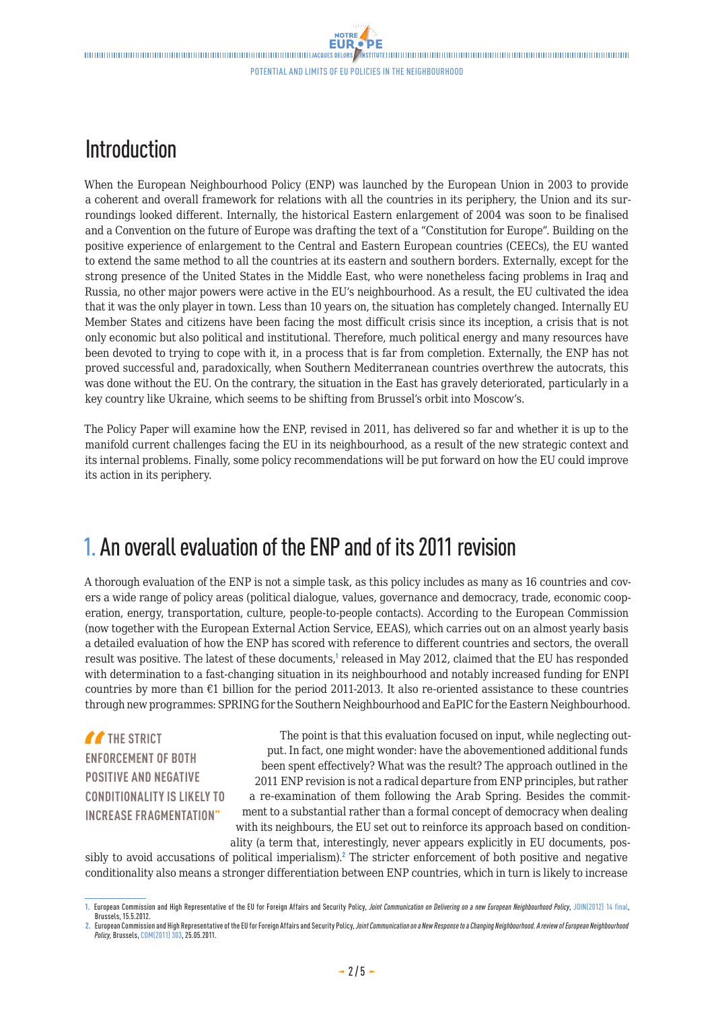### Introduction

When the European Neighbourhood Policy (ENP) was launched by the European Union in 2003 to provide a coherent and overall framework for relations with all the countries in its periphery, the Union and its surroundings looked different. Internally, the historical Eastern enlargement of 2004 was soon to be finalised and a Convention on the future of Europe was drafting the text of a "Constitution for Europe". Building on the positive experience of enlargement to the Central and Eastern European countries (CEECs), the EU wanted to extend the same method to all the countries at its eastern and southern borders. Externally, except for the strong presence of the United States in the Middle East, who were nonetheless facing problems in Iraq and Russia, no other major powers were active in the EU's neighbourhood. As a result, the EU cultivated the idea that it was the only player in town. Less than 10 years on, the situation has completely changed. Internally EU Member States and citizens have been facing the most difficult crisis since its inception, a crisis that is not only economic but also political and institutional. Therefore, much political energy and many resources have been devoted to trying to cope with it, in a process that is far from completion. Externally, the ENP has not proved successful and, paradoxically, when Southern Mediterranean countries overthrew the autocrats, this was done without the EU. On the contrary, the situation in the East has gravely deteriorated, particularly in a key country like Ukraine, which seems to be shifting from Brussel's orbit into Moscow's.

The Policy Paper will examine how the ENP, revised in 2011, has delivered so far and whether it is up to the manifold current challenges facing the EU in its neighbourhood, as a result of the new strategic context and its internal problems. Finally, some policy recommendations will be put forward on how the EU could improve its action in its periphery.

### 1. An overall evaluation of the ENP and of its 2011 revision

A thorough evaluation of the ENP is not a simple task, as this policy includes as many as 16 countries and covers a wide range of policy areas (political dialogue, values, governance and democracy, trade, economic cooperation, energy, transportation, culture, people-to-people contacts). According to the European Commission (now together with the European External Action Service, EEAS), which carries out on an almost yearly basis a detailed evaluation of how the ENP has scored with reference to different countries and sectors, the overall result was positive. The latest of these documents,<sup>1</sup> released in May 2012, claimed that the EU has responded with determination to a fast-changing situation in its neighbourhood and notably increased funding for ENPI countries by more than  $\epsilon$ 1 billion for the period 2011-2013. It also re-oriented assistance to these countries through new programmes: SPRING for the Southern Neighbourhood and EaPIC for the Eastern Neighbourhood.

**THE STRICT ENFORCEMENT OF BOTH POSITIVE AND NEGATIVE CONDITIONALITY IS LIKELY TO INCREASE FRAGMENTATION"**

The point is that this evaluation focused on input, while neglecting output. In fact, one might wonder: have the abovementioned additional funds been spent effectively? What was the result? The approach outlined in the 2011 ENP revision is not a radical departure from ENP principles, but rather a re-examination of them following the Arab Spring. Besides the commitment to a substantial rather than a formal concept of democracy when dealing with its neighbours, the EU set out to reinforce its approach based on conditionality (a term that, interestingly, never appears explicitly in EU documents, pos-

sibly to avoid accusations of political imperialism).<sup>2</sup> The stricter enforcement of both positive and negative conditionality also means a stronger differentiation between ENP countries, which in turn is likely to increase

**<sup>1.</sup>** European Commission and High Representative of the EU for Foreign Affairs and Security Policy, *Joint Communication on Delivering on a new European Neighbourhood Policy*, [JOIN\(2012\) 14 final,](http://ec.europa.eu/world/enp/docs/2012_enp_pack/delivering_new_enp_en.pdf) Brussels, 15.5.2012.

**<sup>2.</sup>** European Commission and High Representative of the EU for Foreign Affairs and Security Policy, *Joint Communication on a New Response to a Changing Neighbourhood. A review of European Neighbourhood Policy,* Brussels, [COM\(2011\) 303,](file:///U:/Publications/TGAE%20IV/2012.12%20-%20Rapport%20TGAE/Voisinage%20FINAL/COM(2011) 303) 25.05.2011.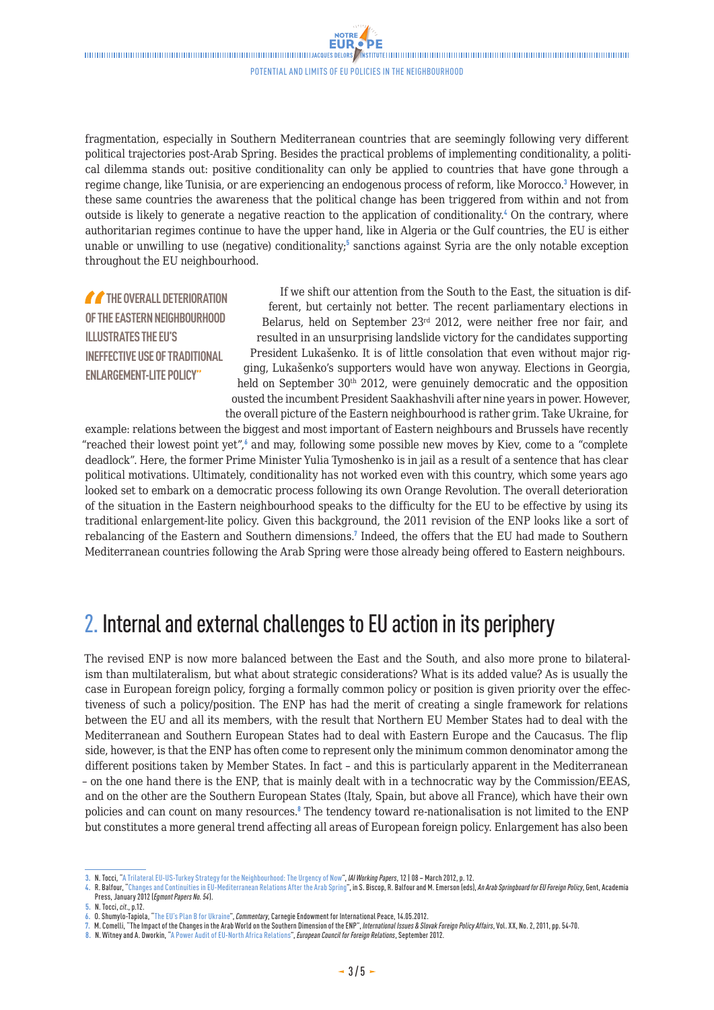$\blacksquare$ Potential and limits of EU policies in the neighbourhood

**NOTRE EUR** 

fragmentation, especially in Southern Mediterranean countries that are seemingly following very different political trajectories post-Arab Spring. Besides the practical problems of implementing conditionality, a political dilemma stands out: positive conditionality can only be applied to countries that have gone through a regime change, like Tunisia, or are experiencing an endogenous process of reform, like Morocco.<sup>3</sup> However, in these same countries the awareness that the political change has been triggered from within and not from outside is likely to generate a negative reaction to the application of conditionality.<sup>4</sup> On the contrary, where authoritarian regimes continue to have the upper hand, like in Algeria or the Gulf countries, the EU is either unable or unwilling to use (negative) conditionality;<sup>5</sup> sanctions against Syria are the only notable exception throughout the EU neighbourhood.

**THE OVERALL DETERIORATION OF THE EASTERN NEIGHBOURHOOD ILLUSTRATES THE EU'S INEFFECTIVE USE OF TRADITIONAL ENLARGEMENT-LITE POLICY"**

If we shift our attention from the South to the East, the situation is different, but certainly not better. The recent parliamentary elections in Belarus, held on September 23rd 2012, were neither free nor fair, and resulted in an unsurprising landslide victory for the candidates supporting President Lukašenko. It is of little consolation that even without major rigging, Lukašenko's supporters would have won anyway. Elections in Georgia, held on September 30<sup>th</sup> 2012, were genuinely democratic and the opposition ousted the incumbent President Saakhashvili after nine years in power. However, the overall picture of the Eastern neighbourhood is rather grim. Take Ukraine, for

example: relations between the biggest and most important of Eastern neighbours and Brussels have recently "reached their lowest point yet", $\delta$  and may, following some possible new moves by Kiev, come to a "complete deadlock". Here, the former Prime Minister Yulia Tymoshenko is in jail as a result of a sentence that has clear political motivations. Ultimately, conditionality has not worked even with this country, which some years ago looked set to embark on a democratic process following its own Orange Revolution. The overall deterioration of the situation in the Eastern neighbourhood speaks to the difficulty for the EU to be effective by using its traditional enlargement-lite policy. Given this background, the 2011 revision of the ENP looks like a sort of rebalancing of the Eastern and Southern dimensions.<sup>7</sup> Indeed, the offers that the EU had made to Southern Mediterranean countries following the Arab Spring were those already being offered to Eastern neighbours.

#### 2. Internal and external challenges to EU action in its periphery

The revised ENP is now more balanced between the East and the South, and also more prone to bilateralism than multilateralism, but what about strategic considerations? What is its added value? As is usually the case in European foreign policy, forging a formally common policy or position is given priority over the effectiveness of such a policy/position. The ENP has had the merit of creating a single framework for relations between the EU and all its members, with the result that Northern EU Member States had to deal with the Mediterranean and Southern European States had to deal with Eastern Europe and the Caucasus. The flip side, however, is that the ENP has often come to represent only the minimum common denominator among the different positions taken by Member States. In fact – and this is particularly apparent in the Mediterranean – on the one hand there is the ENP, that is mainly dealt with in a technocratic way by the Commission/EEAS, and on the other are the Southern European States (Italy, Spain, but above all France), which have their own policies and can count on many resources.<sup>8</sup> The tendency toward re-nationalisation is not limited to the ENP but constitutes a more general trend affecting all areas of European foreign policy. Enlargement has also been

**<sup>3.</sup>** N. Tocci, ["A Trilateral EU-US-Turkey Strategy for the Neighbourhood: The Urgency of Now](http://www.iai.it/pdf/DocIAI/iaiwp1208.pdf)", *IAI Working Papers*, 12 | 08 – March 2012, p. 12.

**<sup>4.</sup>** R. Balfour, "[Changes and Continuities in EU-Mediterranean Relations After the Arab Spring](http://www.egmontinstitute.be/paperegm/ep54.pdf)", in S. Biscop, R. Balfour and M. Emerson (eds), *An Arab Springboard for EU Foreign Policy*, Gent, Academia Press, January 2012 (*Egmont Papers No. 54*).

**<sup>5.</sup>** N. Tocci, *cit*., p.12.

**<sup>6.</sup>** O. Shumylo-Tapiola, "[The EU's Plan B for Ukraine"](http://carnegieendowment.org/2012/05/14/eu-s-plan-b-for-ukraine/aq7f), *Commentary*, Carnegie Endowment for International Peace, 14.05.2012.

**<sup>7.</sup>** M. Comelli, "The Impact of the Changes in the Arab World on the Southern Dimension of the ENP", *International Issues & Slovak Foreign Policy Affairs*, Vol. XX, No. 2, 2011, pp. 54-70.

**<sup>8.</sup>** N. Witney and A. Dworkin, ["A Power Audit of EU-North Africa Relations](http://ecfr.eu/page/-/ECFR62_NAPA_REPORT.pdf)", *European Council for Foreign Relations*, September 2012.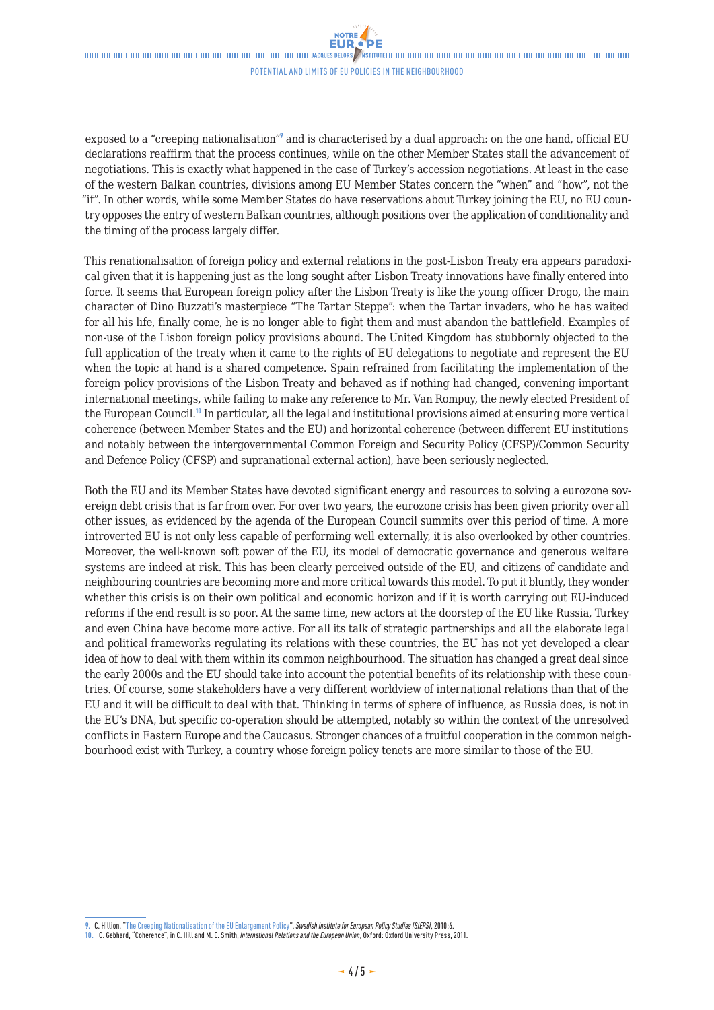NOTRE

#### Potential and limits of EU policies in the neighbourhood

exposed to a "creeping nationalisation"<sup>9</sup> and is characterised by a dual approach: on the one hand, official EU declarations reaffirm that the process continues, while on the other Member States stall the advancement of negotiations. This is exactly what happened in the case of Turkey's accession negotiations. At least in the case of the western Balkan countries, divisions among EU Member States concern the "when" and "how", not the "if". In other words, while some Member States do have reservations about Turkey joining the EU, no EU country opposes the entry of western Balkan countries, although positions over the application of conditionality and the timing of the process largely differ.

This renationalisation of foreign policy and external relations in the post-Lisbon Treaty era appears paradoxical given that it is happening just as the long sought after Lisbon Treaty innovations have finally entered into force. It seems that European foreign policy after the Lisbon Treaty is like the young officer Drogo, the main character of Dino Buzzati's masterpiece "The Tartar Steppe": when the Tartar invaders, who he has waited for all his life, finally come, he is no longer able to fight them and must abandon the battlefield. Examples of non-use of the Lisbon foreign policy provisions abound. The United Kingdom has stubbornly objected to the full application of the treaty when it came to the rights of EU delegations to negotiate and represent the EU when the topic at hand is a shared competence. Spain refrained from facilitating the implementation of the foreign policy provisions of the Lisbon Treaty and behaved as if nothing had changed, convening important international meetings, while failing to make any reference to Mr. Van Rompuy, the newly elected President of the European Council.<sup>10</sup> In particular, all the legal and institutional provisions aimed at ensuring more vertical coherence (between Member States and the EU) and horizontal coherence (between different EU institutions and notably between the intergovernmental Common Foreign and Security Policy (CFSP)/Common Security and Defence Policy (CFSP) and supranational external action), have been seriously neglected.

Both the EU and its Member States have devoted significant energy and resources to solving a eurozone sovereign debt crisis that is far from over. For over two years, the eurozone crisis has been given priority over all other issues, as evidenced by the agenda of the European Council summits over this period of time. A more introverted EU is not only less capable of performing well externally, it is also overlooked by other countries. Moreover, the well-known soft power of the EU, its model of democratic governance and generous welfare systems are indeed at risk. This has been clearly perceived outside of the EU, and citizens of candidate and neighbouring countries are becoming more and more critical towards this model. To put it bluntly, they wonder whether this crisis is on their own political and economic horizon and if it is worth carrying out EU-induced reforms if the end result is so poor. At the same time, new actors at the doorstep of the EU like Russia, Turkey and even China have become more active. For all its talk of strategic partnerships and all the elaborate legal and political frameworks regulating its relations with these countries, the EU has not yet developed a clear idea of how to deal with them within its common neighbourhood. The situation has changed a great deal since the early 2000s and the EU should take into account the potential benefits of its relationship with these countries. Of course, some stakeholders have a very different worldview of international relations than that of the EU and it will be difficult to deal with that. Thinking in terms of sphere of influence, as Russia does, is not in the EU's DNA, but specific co-operation should be attempted, notably so within the context of the unresolved conflicts in Eastern Europe and the Caucasus. Stronger chances of a fruitful cooperation in the common neighbourhood exist with Turkey, a country whose foreign policy tenets are more similar to those of the EU.

**<sup>9.</sup>** C. Hillion, ["The Creeping Nationalisation of the EU Enlargement Policy"](http://www.wider-europe.org/sites/default/files/attachments/events/SIEPS report.pdf), *Swedish Institute for European Policy Studies (SIEPS)*, 2010:6.

**<sup>10.</sup>** C. Gebhard, "Coherence", in C. Hill and M. E. Smith, *International Relations and the European Union*, Oxford: Oxford University Press, 2011.